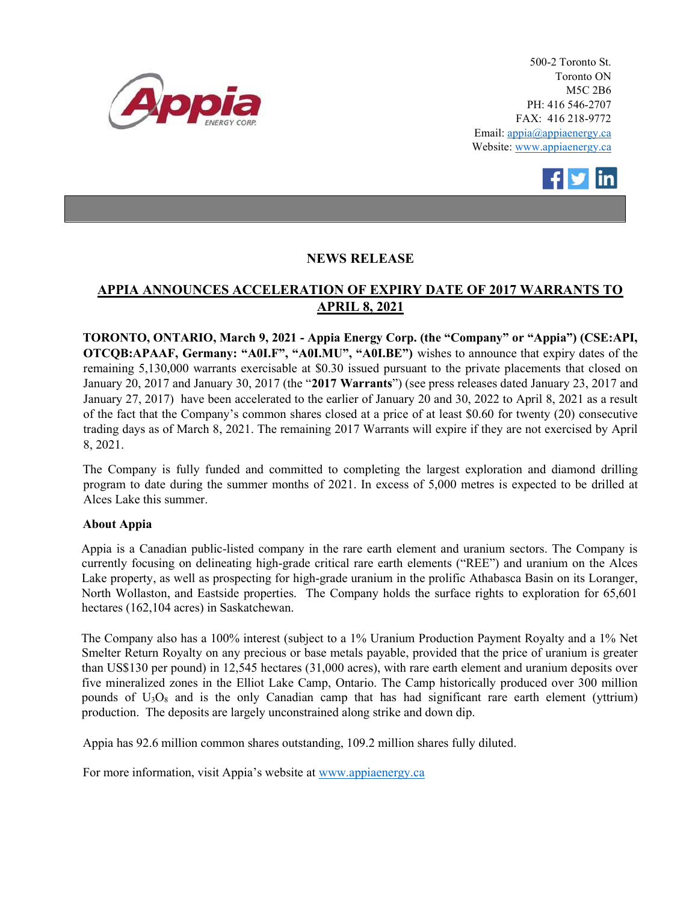

500-2 Toronto St. Toronto ON M5C 2B6 PH: 416 546-2707 FAX: 416 218-9772 Email: appia@appiaenergy.ca Website: www.appiaenergy.ca



## NEWS RELEASE

## APPIA ANNOUNCES ACCELERATION OF EXPIRY DATE OF 2017 WARRANTS TO APRIL 8, 2021

TORONTO, ONTARIO, March 9, 2021 - Appia Energy Corp. (the "Company" or "Appia") (CSE:API, OTCQB:APAAF, Germany: "A0I.F", "A0I.MU", "A0I.BE") wishes to announce that expiry dates of the remaining 5,130,000 warrants exercisable at \$0.30 issued pursuant to the private placements that closed on January 20, 2017 and January 30, 2017 (the "2017 Warrants") (see press releases dated January 23, 2017 and January 27, 2017) have been accelerated to the earlier of January 20 and 30, 2022 to April 8, 2021 as a result of the fact that the Company's common shares closed at a price of at least \$0.60 for twenty (20) consecutive trading days as of March 8, 2021. The remaining 2017 Warrants will expire if they are not exercised by April 8, 2021.

The Company is fully funded and committed to completing the largest exploration and diamond drilling program to date during the summer months of 2021. In excess of 5,000 metres is expected to be drilled at Alces Lake this summer.

## About Appia

Appia is a Canadian public-listed company in the rare earth element and uranium sectors. The Company is currently focusing on delineating high-grade critical rare earth elements ("REE") and uranium on the Alces Lake property, as well as prospecting for high-grade uranium in the prolific Athabasca Basin on its Loranger, North Wollaston, and Eastside properties. The Company holds the surface rights to exploration for 65,601 hectares (162,104 acres) in Saskatchewan.

The Company also has a 100% interest (subject to a 1% Uranium Production Payment Royalty and a 1% Net Smelter Return Royalty on any precious or base metals payable, provided that the price of uranium is greater than US\$130 per pound) in 12,545 hectares (31,000 acres), with rare earth element and uranium deposits over five mineralized zones in the Elliot Lake Camp, Ontario. The Camp historically produced over 300 million pounds of  $U_3O_8$  and is the only Canadian camp that has had significant rare earth element (yttrium) production. The deposits are largely unconstrained along strike and down dip.

Appia has 92.6 million common shares outstanding, 109.2 million shares fully diluted.

For more information, visit Appia's website at www.appiaenergy.ca